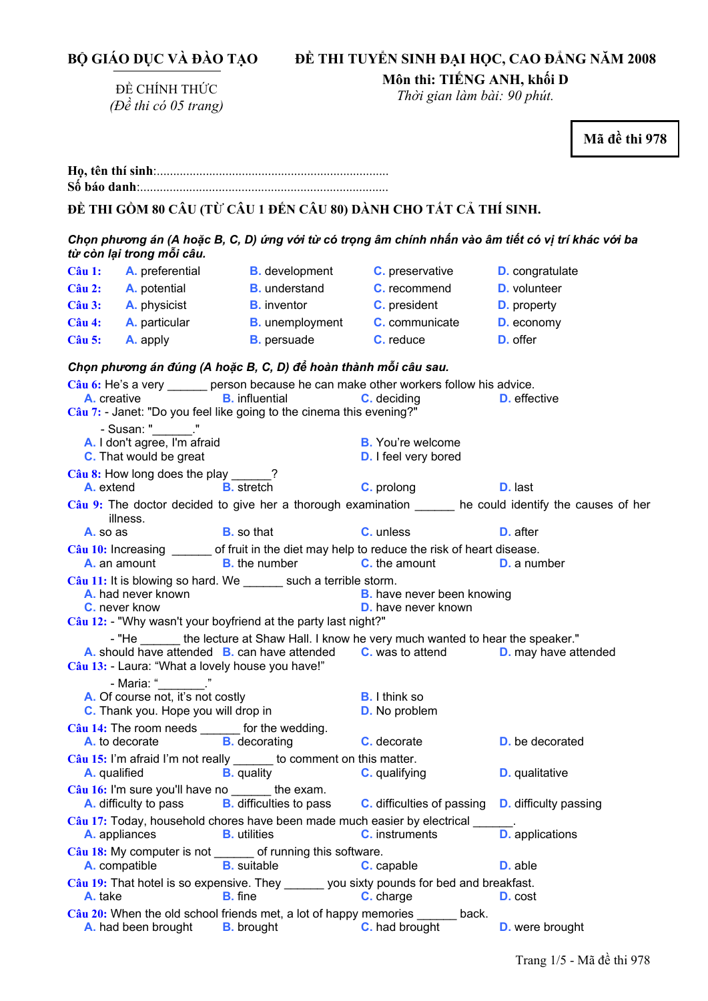|  |  | BỘ GIÁO DỤC VÀ ĐẢO TẠO |
|--|--|------------------------|
|  |  |                        |

# **ĐỀ THI TUYỂN SINH ĐẠI HỌC, CAO ĐẲNG NĂM 2008**

ĐỀ CHÍNH THỨC *(Đề thi có 05 trang)*  **Môn thi: TIẾNG ANH, khối D** 

*Thời gian làm bài: 90 phút.* 

**Mã đề thi 978 <sup>H</sup>ọ, tên thí sinh**:.......................................................................... **Số báo danh**:............................................................................ **ĐỀ THI GỒM 80 CÂU (TỪ CÂU 1 ĐẾN CÂU 80) DÀNH CHO TẤT CẢ THÍ SINH.**  Chọn phương án (A hoặc B, C, D) ứng với từ có trọng âm chính nhấn vào âm tiết có vị trí khác với ba *từ còn lại trong mỗi câu.*  **Câu 1: A.** preferential **B.** development **C.** preservative **D.** congratulate **Câu 2: A.** potential **B.** understand **C.** recommend **D.** volunteer **Câu 3: A.** physicist **B.** inventor **C.** president **D.** property **Câu 4: A.** particular **B.** unemployment **C.** communicate **D.** economy **Câu 5: A.** apply **B.** persuade **C.** reduce **D.** offer *Chọn phương án đúng (A hoặc B, C, D) để hoàn thành mỗi câu sau.*  **Câu 6:** He's a very \_\_\_\_\_\_ person because he can make other workers follow his advice.<br>**A.** creative **B.** influential **C.** deciding **D.** effection **A. A. C.** deciding **D.** effective **Câu 7:** - Janet: "Do you feel like going to the cinema this evening?" - Susan: " **A.** I don't agree, I'm afraid **B.** You're welcome **C.** That would be great **D. D. D. I** feel very bored Câu 8: How long does the play \_\_\_ **A.** extend **B.** stretch **C.** prolong **D.** last Câu 9: The doctor decided to give her a thorough examination he could identify the causes of her illness. **A.** so as **B.** so that **C.** unless **D.** after **Câu 10:** Increasing \_\_\_\_\_\_ of fruit in the diet may help to reduce the risk of heart disease. **A.** an amount **B.** the number **C.** the amount **D.** a number **Câu 11:** It is blowing so hard. We such a terrible storm. **A.** had never known **B.** have never been knowing **C.** never know **D.** have never known **Câu 12:** - "Why wasn't your boyfriend at the party last night?" - "He \_\_\_\_\_\_\_ the lecture at Shaw Hall. I know he very much wanted to hear the speaker." **A.** should have attended **B.** can have attended **C.** was to attend **D.** may have attended **Câu 13:** - Laura: "What a lovely house you have!" - Maria: " **A.** Of course not, it's not costly **B.** I think so **C.** Thank you. Hope you will drop in **D.** No problem **Câu 14:** The room needs \_\_\_\_\_\_ for the wedding. **A.** to decorate **B.** decorating **C.** decorate **D.** be decorated Câu 15: I'm afraid I'm not really to comment on this matter. **A.** qualified **B.** quality **C.** qualifying **D.** qualitative **Câu 16:** I'm sure you'll have no the exam. **A.** difficulty to pass **B.** difficulties to pass **C.** difficulties of passing **D.** difficulty passing Câu 17: Today, household chores have been made much easier by electrical **A.** appliances **B.** utilities **C.** instruments **D.** applications **Câu 18:** My computer is not \_\_\_\_\_\_ of running this software.<br> **A.** compatible **B.** suitable **C.** ca **A.** compatible **B.** suitable **C.** capable **D.** able **Câu 19:** That hotel is so expensive. They \_\_\_\_\_\_ you sixty pounds for bed and breakfast. **A.** take **B.** fine **C.** charge **D.** cost **Câu 20:** When the old school friends met, a lot of happy memories \_\_\_\_\_\_ back.

**A.** had been brought **B.** brought **C.** had brought **D.** were brought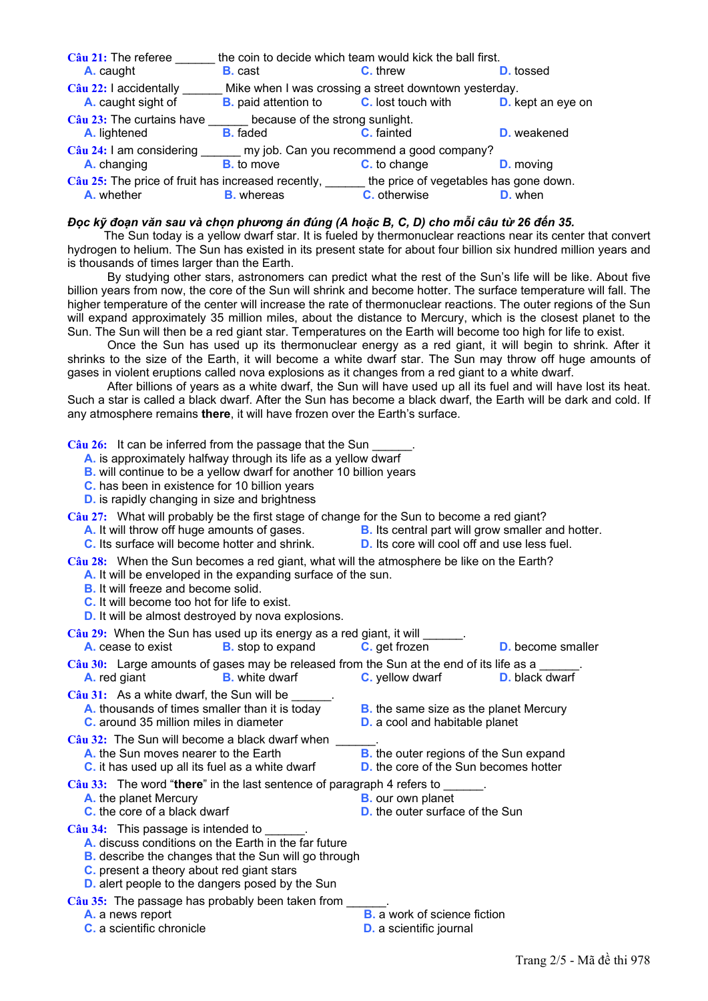| Câu 21: The referee                                                                                | the coin to decide which team would kick the ball first. |                                                       |                          |  |  |
|----------------------------------------------------------------------------------------------------|----------------------------------------------------------|-------------------------------------------------------|--------------------------|--|--|
| A. caught                                                                                          | <b>B.</b> cast                                           | <b>C.</b> threw                                       | <b>D.</b> tossed         |  |  |
| Câu 22: I accidentally                                                                             |                                                          | Mike when I was crossing a street downtown yesterday. |                          |  |  |
| A. caught sight of                                                                                 | <b>B.</b> paid attention to <b>C.</b> lost touch with    |                                                       | <b>D.</b> kept an eye on |  |  |
| Câu 23: The curtains have<br>because of the strong sunlight.                                       |                                                          |                                                       |                          |  |  |
| A. lightened                                                                                       | <b>B.</b> faded                                          | C. fainted                                            | <b>D.</b> weakened       |  |  |
| Câu 24: I am considering<br>my job. Can you recommend a good company?                              |                                                          |                                                       |                          |  |  |
| A. changing                                                                                        | <b>B.</b> to move                                        | C. to change                                          | <b>D.</b> moving         |  |  |
| Câu 25: The price of fruit has increased recently, _____<br>the price of vegetables has gone down. |                                                          |                                                       |                          |  |  |
| A. whether                                                                                         | <b>B.</b> whereas                                        | <b>C.</b> otherwise                                   | <b>D.</b> when           |  |  |

#### Đọc kỹ đoạn văn sau và chọn phương án đúng (A hoặc B, C, D) cho mỗi câu từ 26 đến 35.

The Sun today is a yellow dwarf star. It is fueled by thermonuclear reactions near its center that convert hydrogen to helium. The Sun has existed in its present state for about four billion six hundred million years and is thousands of times larger than the Earth.

 By studying other stars, astronomers can predict what the rest of the Sun's life will be like. About five billion years from now, the core of the Sun will shrink and become hotter. The surface temperature will fall. The higher temperature of the center will increase the rate of thermonuclear reactions. The outer regions of the Sun will expand approximately 35 million miles, about the distance to Mercury, which is the closest planet to the Sun. The Sun will then be a red giant star. Temperatures on the Earth will become too high for life to exist.

 Once the Sun has used up its thermonuclear energy as a red giant, it will begin to shrink. After it shrinks to the size of the Earth, it will become a white dwarf star. The Sun may throw off huge amounts of gases in violent eruptions called nova explosions as it changes from a red giant to a white dwarf.

 After billions of years as a white dwarf, the Sun will have used up all its fuel and will have lost its heat. Such a star is called a black dwarf. After the Sun has become a black dwarf, the Earth will be dark and cold. If any atmosphere remains **there**, it will have frozen over the Earth's surface.

Câu 26: It can be inferred from the passage that the Sun

- **A.** is approximately halfway through its life as a yellow dwarf
- **B.** will continue to be a yellow dwarf for another 10 billion years
- **C.** has been in existence for 10 billion years
- **D.** is rapidly changing in size and brightness

**Câu 27:** What will probably be the first stage of change for the Sun to become a red giant?

- **A.** It will throw off huge amounts of gases. **B.** Its central part will grow smaller and hotter.
- **C.** Its surface will become hotter and shrink. **D.** Its core will cool off and use less fuel.
	-
- **Câu 28:** When the Sun becomes a red giant, what will the atmosphere be like on the Earth? **A.** It will be enveloped in the expanding surface of the sun.
	- **B.** It will freeze and become solid.
	- **C.** It will become too hot for life to exist.
	- **D.** It will be almost destroyed by nova explosions.

Câu 29: When the Sun has used up its energy as a red giant, it will

**A.** cease to exist **B.** stop to expand **C.** get frozen **D.** become smaller

Câu 30: Large amounts of gases may be released from the Sun at the end of its life as a **A.** red giant **B.** white dwarf **C.** yellow dwarf **D.** black dwarf

Câu 31: As a white dwarf, the Sun will be **A.** thousands of times smaller than it is today **B.** the same size as the planet Mercury **C.** around 35 million miles in diameter **D.** a cool and habitable planet **C.** around 35 million miles in diameter

Câu 32: The Sun will become a black dwarf when

- **A.** the Sun moves nearer to the Earth **B.** the outer regions of the Sun expand
- **C.** it has used up all its fuel as a white dwarf **D.** the core of the Sun becomes hotter

**Câu 33:** The word "**there**" in the last sentence of paragraph 4 refers to \_\_\_\_\_\_.

- **A.** the planet Mercury
- **C.** the core of a black dwarf **D.** the outer surface of the Sun

Câu 34: This passage is intended to

- **A.** discuss conditions on the Earth in the far future
- **B.** describe the changes that the Sun will go through
- **C.** present a theory about red giant stars
- **D.** alert people to the dangers posed by the Sun
- Câu 35: The passage has probably been taken from
	-
	-
	- **A.** a news report **B.** a work of science fiction
	- **C.** a scientific chronicle **D.** a scientific journal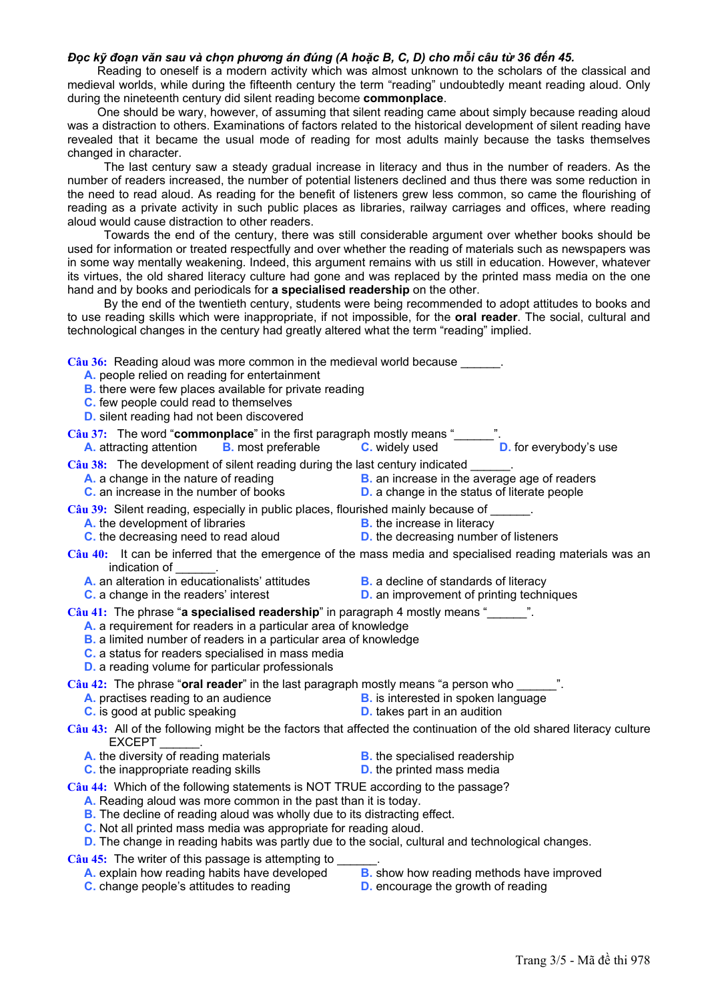#### Đọc kỹ đoạn văn sau và chọn phương án đúng (A hoặc B, C, D) cho mỗi câu từ 36 đến 45.

Reading to oneself is a modern activity which was almost unknown to the scholars of the classical and medieval worlds, while during the fifteenth century the term "reading" undoubtedly meant reading aloud. Only during the nineteenth century did silent reading become **commonplace**.

 One should be wary, however, of assuming that silent reading came about simply because reading aloud was a distraction to others. Examinations of factors related to the historical development of silent reading have revealed that it became the usual mode of reading for most adults mainly because the tasks themselves changed in character.

 The last century saw a steady gradual increase in literacy and thus in the number of readers. As the number of readers increased, the number of potential listeners declined and thus there was some reduction in the need to read aloud. As reading for the benefit of listeners grew less common, so came the flourishing of reading as a private activity in such public places as libraries, railway carriages and offices, where reading aloud would cause distraction to other readers.

 Towards the end of the century, there was still considerable argument over whether books should be used for information or treated respectfully and over whether the reading of materials such as newspapers was in some way mentally weakening. Indeed, this argument remains with us still in education. However, whatever its virtues, the old shared literacy culture had gone and was replaced by the printed mass media on the one hand and by books and periodicals for **a specialised readership** on the other.

 By the end of the twentieth century, students were being recommended to adopt attitudes to books and to use reading skills which were inappropriate, if not impossible, for the **oral reader**. The social, cultural and technological changes in the century had greatly altered what the term "reading" implied.

Câu 36: Reading aloud was more common in the medieval world because

- **A.** people relied on reading for entertainment
- **B.** there were few places available for private reading
- **C.** few people could read to themselves
- **D.** silent reading had not been discovered

Câu 37: The word "**commonplace**" in the first paragraph mostly means "\_\_\_\_\_ **A. A. A. A. A. A. COMMONGIAGE** in the first paragraph mostly means  $\frac{1}{2}$ . **D.** for everybody's use **A.** attracting attention **B.** most preferable **C.** widely used **D.** for everybody's use

**Câu 38:** The development of silent reading during the last century indicated \_\_\_\_\_\_.

- 
- **B.** an increase in the average age of readers **C.** an increase in the number of books **D.** a change in the status of literate people
- **Câu 39:** Silent reading, especially in public places, flourished mainly because of \_\_\_\_\_\_.
	- **A.** the development of libraries **B.** the increase in literacy
	- **C.** the decreasing need to read aloud **D.** the decreasing number of listeners
- -
- **Câu 40:** It can be inferred that the emergence of the mass media and specialised reading materials was an indication of
	- **A.** an alteration in educationalists' attitudes **B.** a decline of standards of literacy
		-
		-
	- **C.** a change in the readers' interest **D.** an improvement of printing techniques

**Câu 41:** The phrase "**a specialised readership**" in paragraph 4 mostly means "\_\_\_\_\_\_".

- **A.** a requirement for readers in a particular area of knowledge
- **B.** a limited number of readers in a particular area of knowledge
- **C.** a status for readers specialised in mass media
- **D.** a reading volume for particular professionals

**Câu 42:** The phrase "**oral reader**" in the last paragraph mostly means "a person who \_\_\_\_\_\_".

- **A.** practises reading to an audience **B.** is interested in spoken language
- **C.** is good at public speaking **D. D.** takes part in an audition

**Câu 43:** All of the following might be the factors that affected the continuation of the old shared literacy culture EXCEPT

- **A.** the diversity of reading materials **B.** the specialised readership
	-
- **C.** the inappropriate reading skills **D. D.** the printed mass media
- 
- **Câu 44:** Which of the following statements is NOT TRUE according to the passage?
	- **A.** Reading aloud was more common in the past than it is today.
	- **B.** The decline of reading aloud was wholly due to its distracting effect.
	- **C.** Not all printed mass media was appropriate for reading aloud.
	- **D.** The change in reading habits was partly due to the social, cultural and technological changes.
- Câu 45: The writer of this passage is attempting to \_
	- **A.** explain how reading habits have developed **B.** show how reading methods have improved
	- **C.** change people's attitudes to reading **D.** encourage the growth of reading
-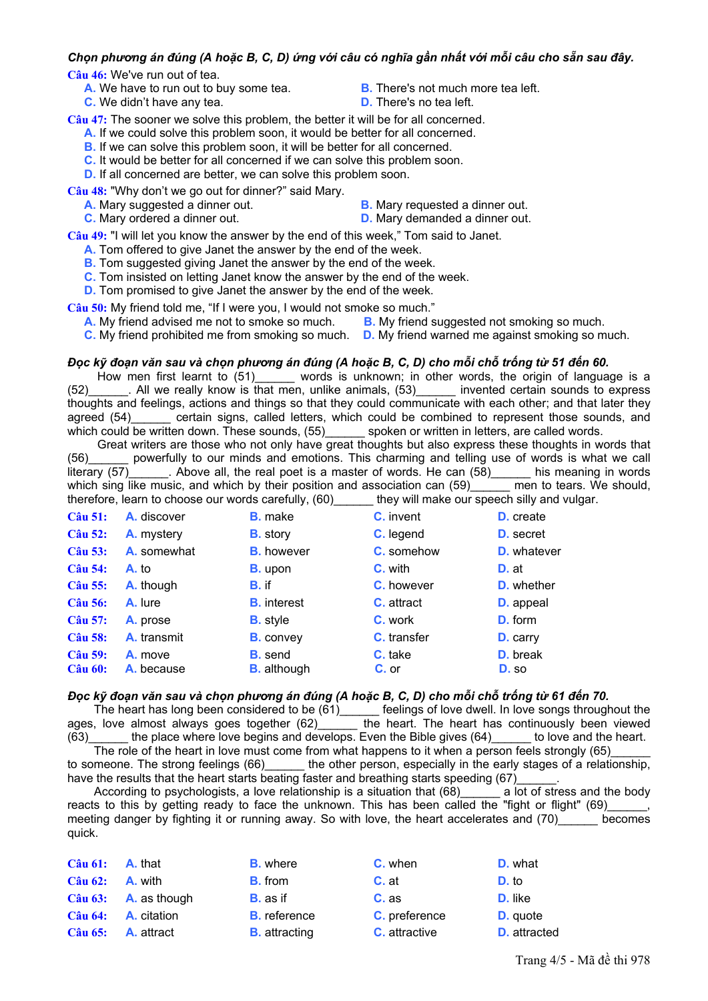## Chọn phương án đúng (A hoặc B, C, D) ứng với câu có nghĩa gần nhất với mỗi câu cho sẵn sau đây.

**Câu 46:** We've run out of tea.

- **A.** We have to run out to buy some tea. **B.** There's not much more tea left.<br> **C.** We didn't have any tea. **B. D.** There's no tea left.
- **C.** We didn't have any tea.
- 
- 

**Câu 47:** The sooner we solve this problem, the better it will be for all concerned.

- **A.** If we could solve this problem soon, it would be better for all concerned.
- **B.** If we can solve this problem soon, it will be better for all concerned.
- **C.** It would be better for all concerned if we can solve this problem soon.
- **D.** If all concerned are better, we can solve this problem soon.

**Câu 48:** "Why don't we go out for dinner?" said Mary.

- 
- **A.** Mary suggested a dinner out. **B.** Mary requested a dinner out.
- **C.** Mary ordered a dinner out. **D.** Mary demanded a dinner out.

**Câu 49:** "I will let you know the answer by the end of this week," Tom said to Janet.

- **A.** Tom offered to give Janet the answer by the end of the week.
- **B.** Tom suggested giving Janet the answer by the end of the week.
- **C.** Tom insisted on letting Janet know the answer by the end of the week.
- **D.** Tom promised to give Janet the answer by the end of the week.

**Câu 50:** My friend told me, "If I were you, I would not smoke so much."

- **A.** My friend advised me not to smoke so much. **B.** My friend suggested not smoking so much.
- **C.** My friend prohibited me from smoking so much. **D.** My friend warned me against smoking so much.

### Đọc kỹ đoạn văn sau và chọn phương án đúng (A hoặc B, C, D) cho mỗi chỗ trống từ 51 đến 60.

How men first learnt to (51)\_\_\_\_\_\_ words is unknown; in other words, the origin of language is a (52)\_\_\_\_\_\_. All we really know is that men, unlike animals, (53)\_\_\_\_\_\_ invented certain sounds to express thoughts and feelings, actions and things so that they could communicate with each other; and that later they agreed (54) certain signs, called letters, which could be combined to represent those sounds, and which could be written down. These sounds, (55)\_\_\_\_\_\_\_ spoken or written in letters, are called words.

 Great writers are those who not only have great thoughts but also express these thoughts in words that (56)\_\_\_\_\_\_ powerfully to our minds and emotions. This charming and telling use of words is what we call literary  $(57)$  . Above all, the real poet is a master of words. He can  $(58)$  his meaning in words which sing like music, and which by their position and association can (59) \_\_\_\_\_ men to tears. We should, therefore, learn to choose our words carefully, (60) they will make our speech silly and vulgar.

| $C\hat{a}$ u 51:                 | A. discover           | <b>B.</b> make                       | <b>C.</b> invent   | <b>D.</b> create         |
|----------------------------------|-----------------------|--------------------------------------|--------------------|--------------------------|
| <b>Câu 52:</b>                   | A. mystery            | <b>B.</b> story                      | C. legend          | <b>D.</b> secret         |
| Câu 53:                          | <b>A.</b> somewhat    | <b>B.</b> however                    | C. somehow         | <b>D.</b> whatever       |
| <b>Câu 54:</b>                   | A. to                 | <b>B.</b> upon                       | C. with            | D. at                    |
| <b>Câu 55:</b>                   | A. though             | B. if                                | <b>C.</b> however  | <b>D.</b> whether        |
| <b>Câu 56:</b>                   | A. lure               | <b>B.</b> interest                   | <b>C.</b> attract  | <b>D.</b> appeal         |
| <b>Câu 57:</b>                   | A. prose              | <b>B.</b> style                      | C. work            | <b>D.</b> form           |
| <b>Câu 58:</b>                   | A. transmit           | <b>B.</b> convey                     | <b>C.</b> transfer | <b>D.</b> carry          |
| <b>Câu 59:</b><br><b>Câu 60:</b> | A. move<br>A. because | <b>B.</b> send<br><b>B.</b> although | C. take<br>C. or   | <b>D.</b> break<br>D. so |

### Đọc kỹ đoạn văn sau và chọn phương án đúng (A hoặc B, C, D) cho mỗi chỗ trống từ 61 đến 70.

The heart has long been considered to be (61) feelings of love dwell. In love songs throughout the ages, love almost always goes together  $(62)$  the heart. The heart has continuously been viewed (63)\_\_\_\_\_\_ the place where love begins and develops. Even the Bible gives (64)\_\_\_\_\_\_ to love and the heart.

The role of the heart in love must come from what happens to it when a person feels strongly (65) to someone. The strong feelings (66) the other person, especially in the early stages of a relationship, have the results that the heart starts beating faster and breathing starts speeding (67)

According to psychologists, a love relationship is a situation that (68) a lot of stress and the body reacts to this by getting ready to face the unknown. This has been called the "fight or flight" (69)\_\_\_\_\_\_, meeting danger by fighting it or running away. So with love, the heart accelerates and (70) becomes quick.

|                  | $C\hat{a}$ u 61: <b>A.</b> that      | <b>B.</b> where      | C. when              | <b>D.</b> what      |
|------------------|--------------------------------------|----------------------|----------------------|---------------------|
| $C\hat{a}$ u 62: | <b>A.</b> with                       | <b>B.</b> from       | $C.$ at              | D. to               |
|                  | $C\hat{a}$ u 63: <b>A.</b> as though | <b>B.</b> as if      | $C.$ as              | D. like             |
|                  | $C\hat{a}$ u 64: <b>A.</b> citation  | <b>B.</b> reference  | C. preference        | <b>D.</b> quote     |
|                  | $C\hat{a}$ u 65: <b>A.</b> attract   | <b>B.</b> attracting | <b>C.</b> attractive | <b>D.</b> attracted |